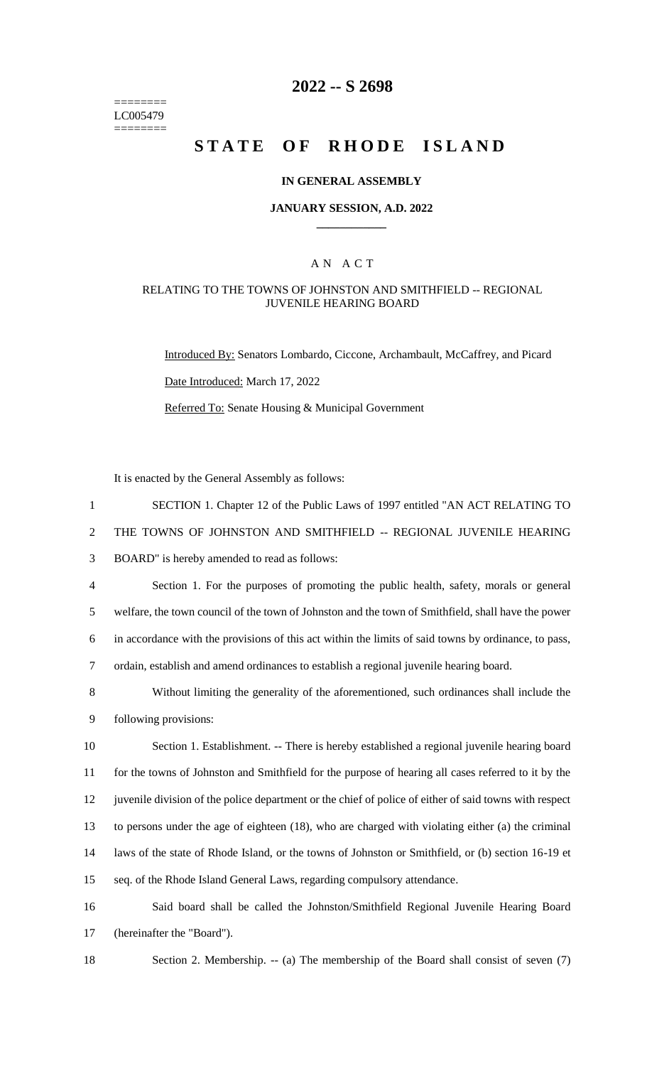======== LC005479 ========

# **2022 -- S 2698**

# **STATE OF RHODE ISLAND**

#### **IN GENERAL ASSEMBLY**

#### **JANUARY SESSION, A.D. 2022 \_\_\_\_\_\_\_\_\_\_\_\_**

### A N A C T

#### RELATING TO THE TOWNS OF JOHNSTON AND SMITHFIELD -- REGIONAL JUVENILE HEARING BOARD

Introduced By: Senators Lombardo, Ciccone, Archambault, McCaffrey, and Picard Date Introduced: March 17, 2022 Referred To: Senate Housing & Municipal Government

It is enacted by the General Assembly as follows:

| $\mathbf{1}$   | SECTION 1. Chapter 12 of the Public Laws of 1997 entitled "AN ACT RELATING TO                          |
|----------------|--------------------------------------------------------------------------------------------------------|
| $\overline{2}$ | THE TOWNS OF JOHNSTON AND SMITHFIELD -- REGIONAL JUVENILE HEARING                                      |
| 3              | BOARD" is hereby amended to read as follows:                                                           |
| $\overline{4}$ | Section 1. For the purposes of promoting the public health, safety, morals or general                  |
| 5              | welfare, the town council of the town of Johnston and the town of Smithfield, shall have the power     |
| 6              | in accordance with the provisions of this act within the limits of said towns by ordinance, to pass,   |
| 7              | ordain, establish and amend ordinances to establish a regional juvenile hearing board.                 |
| 8              | Without limiting the generality of the aforementioned, such ordinances shall include the               |
| 9              | following provisions:                                                                                  |
| 10             | Section 1. Establishment. -- There is hereby established a regional juvenile hearing board             |
| 11             | for the towns of Johnston and Smithfield for the purpose of hearing all cases referred to it by the    |
| 12             | juvenile division of the police department or the chief of police of either of said towns with respect |
| 13             | to persons under the age of eighteen (18), who are charged with violating either (a) the criminal      |
| 14             | laws of the state of Rhode Island, or the towns of Johnston or Smithfield, or (b) section 16-19 et     |
| 15             | seq. of the Rhode Island General Laws, regarding compulsory attendance.                                |
| 16             | Said board shall be called the Johnston/Smithfield Regional Juvenile Hearing Board                     |
| 17             | (hereinafter the "Board").                                                                             |

18 Section 2. Membership. -- (a) The membership of the Board shall consist of seven (7)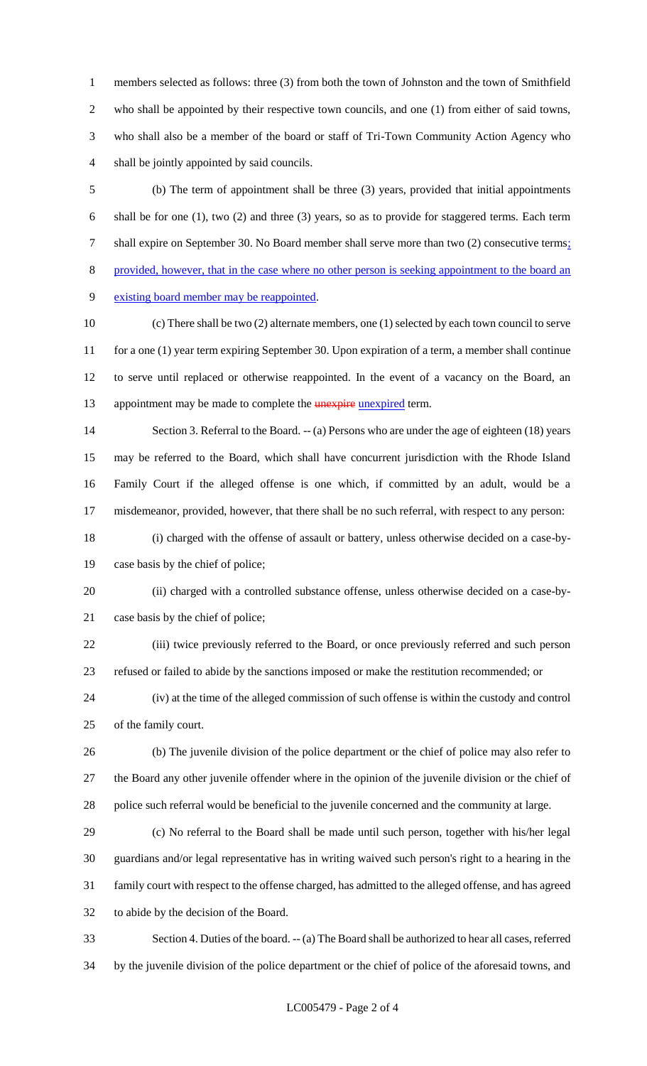members selected as follows: three (3) from both the town of Johnston and the town of Smithfield who shall be appointed by their respective town councils, and one (1) from either of said towns, who shall also be a member of the board or staff of Tri-Town Community Action Agency who shall be jointly appointed by said councils.

 (b) The term of appointment shall be three (3) years, provided that initial appointments shall be for one (1), two (2) and three (3) years, so as to provide for staggered terms. Each term 7 shall expire on September 30. No Board member shall serve more than two (2) consecutive terms; provided, however, that in the case where no other person is seeking appointment to the board an existing board member may be reappointed.

 (c) There shall be two (2) alternate members, one (1) selected by each town council to serve 11 for a one (1) year term expiring September 30. Upon expiration of a term, a member shall continue to serve until replaced or otherwise reappointed. In the event of a vacancy on the Board, an 13 appointment may be made to complete the **unexpire unexpired** term.

 Section 3. Referral to the Board. -- (a) Persons who are under the age of eighteen (18) years may be referred to the Board, which shall have concurrent jurisdiction with the Rhode Island Family Court if the alleged offense is one which, if committed by an adult, would be a misdemeanor, provided, however, that there shall be no such referral, with respect to any person:

 (i) charged with the offense of assault or battery, unless otherwise decided on a case-by-case basis by the chief of police;

 (ii) charged with a controlled substance offense, unless otherwise decided on a case-by-case basis by the chief of police;

 (iii) twice previously referred to the Board, or once previously referred and such person refused or failed to abide by the sanctions imposed or make the restitution recommended; or

 (iv) at the time of the alleged commission of such offense is within the custody and control of the family court.

 (b) The juvenile division of the police department or the chief of police may also refer to the Board any other juvenile offender where in the opinion of the juvenile division or the chief of police such referral would be beneficial to the juvenile concerned and the community at large.

 (c) No referral to the Board shall be made until such person, together with his/her legal guardians and/or legal representative has in writing waived such person's right to a hearing in the family court with respect to the offense charged, has admitted to the alleged offense, and has agreed to abide by the decision of the Board.

 Section 4. Duties of the board. -- (a) The Board shall be authorized to hear all cases, referred by the juvenile division of the police department or the chief of police of the aforesaid towns, and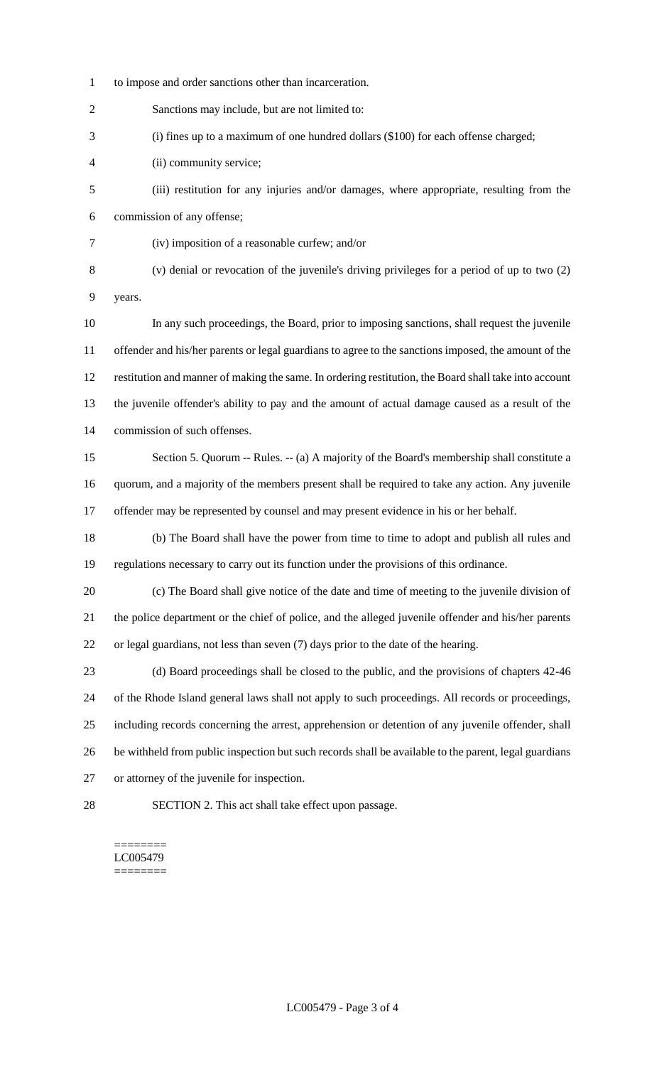to impose and order sanctions other than incarceration.

Sanctions may include, but are not limited to:

(i) fines up to a maximum of one hundred dollars (\$100) for each offense charged;

- (ii) community service;
- (iii) restitution for any injuries and/or damages, where appropriate, resulting from the commission of any offense;
- (iv) imposition of a reasonable curfew; and/or
- (v) denial or revocation of the juvenile's driving privileges for a period of up to two (2) years.
- In any such proceedings, the Board, prior to imposing sanctions, shall request the juvenile offender and his/her parents or legal guardians to agree to the sanctions imposed, the amount of the restitution and manner of making the same. In ordering restitution, the Board shall take into account the juvenile offender's ability to pay and the amount of actual damage caused as a result of the commission of such offenses.
- Section 5. Quorum -- Rules. -- (a) A majority of the Board's membership shall constitute a quorum, and a majority of the members present shall be required to take any action. Any juvenile offender may be represented by counsel and may present evidence in his or her behalf.
- (b) The Board shall have the power from time to time to adopt and publish all rules and regulations necessary to carry out its function under the provisions of this ordinance.
- (c) The Board shall give notice of the date and time of meeting to the juvenile division of the police department or the chief of police, and the alleged juvenile offender and his/her parents or legal guardians, not less than seven (7) days prior to the date of the hearing.
- (d) Board proceedings shall be closed to the public, and the provisions of chapters 42-46 of the Rhode Island general laws shall not apply to such proceedings. All records or proceedings, including records concerning the arrest, apprehension or detention of any juvenile offender, shall be withheld from public inspection but such records shall be available to the parent, legal guardians or attorney of the juvenile for inspection.
- 

SECTION 2. This act shall take effect upon passage.

======== LC005479 ========